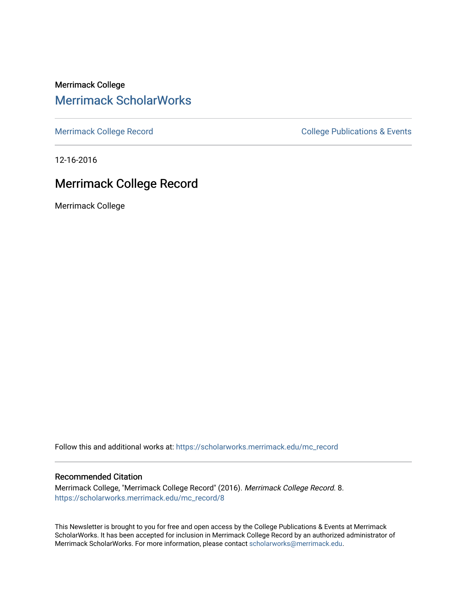Merrimack College [Merrimack ScholarWorks](https://scholarworks.merrimack.edu/) 

[Merrimack College Record](https://scholarworks.merrimack.edu/mc_record) **College Record** College Publications & Events

12-16-2016

### Merrimack College Record

Merrimack College

Follow this and additional works at: [https://scholarworks.merrimack.edu/mc\\_record](https://scholarworks.merrimack.edu/mc_record?utm_source=scholarworks.merrimack.edu%2Fmc_record%2F8&utm_medium=PDF&utm_campaign=PDFCoverPages) 

#### Recommended Citation

Merrimack College, "Merrimack College Record" (2016). Merrimack College Record. 8. [https://scholarworks.merrimack.edu/mc\\_record/8](https://scholarworks.merrimack.edu/mc_record/8?utm_source=scholarworks.merrimack.edu%2Fmc_record%2F8&utm_medium=PDF&utm_campaign=PDFCoverPages)

This Newsletter is brought to you for free and open access by the College Publications & Events at Merrimack ScholarWorks. It has been accepted for inclusion in Merrimack College Record by an authorized administrator of Merrimack ScholarWorks. For more information, please contact [scholarworks@merrimack.edu](mailto:scholarworks@merrimack.edu).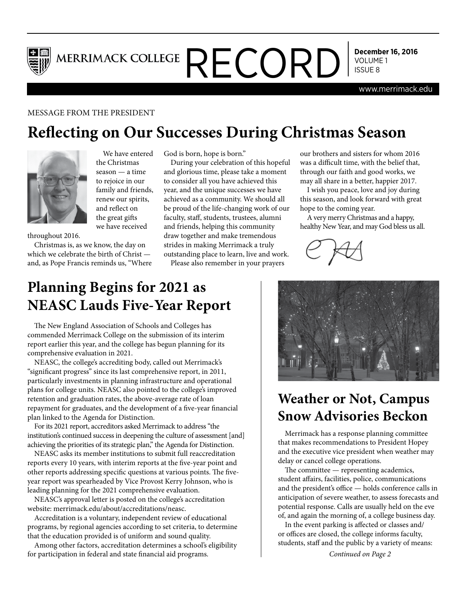

MERRIMACK COLLEGE  $\mathsf{RECORD}$  Secember

**December 16, 2016**

www.merrimack.edu

### MESSAGE FROM THE PRESIDENT

# **Reflecting on Our Successes During Christmas Season**



We have entered the Christmas season — a time to rejoice in our family and friends, renew our spirits, and reflect on the great gifts we have received

throughout 2016.

Christmas is, as we know, the day on which we celebrate the birth of Christ and, as Pope Francis reminds us, "Where God is born, hope is born."

During your celebration of this hopeful and glorious time, please take a moment to consider all you have achieved this year, and the unique successes we have achieved as a community. We should all be proud of the life-changing work of our faculty, staff, students, trustees, alumni and friends, helping this community draw together and make tremendous strides in making Merrimack a truly outstanding place to learn, live and work.

Please also remember in your prayers

our brothers and sisters for whom 2016 was a difficult time, with the belief that, through our faith and good works, we may all share in a better, happier 2017.

I wish you peace, love and joy during this season, and look forward with great hope to the coming year.

A very merry Christmas and a happy, healthy New Year, and may God bless us all.



# **Planning Begins for 2021 as NEASC Lauds Five-Year Report**

The New England Association of Schools and Colleges has commended Merrimack College on the submission of its interim report earlier this year, and the college has begun planning for its comprehensive evaluation in 2021.

NEASC, the college's accrediting body, called out Merrimack's "significant progress" since its last comprehensive report, in 2011, particularly investments in planning infrastructure and operational plans for college units. NEASC also pointed to the college's improved retention and graduation rates, the above-average rate of loan repayment for graduates, and the development of a five-year financial plan linked to the Agenda for Distinction.

For its 2021 report, accreditors asked Merrimack to address "the institution's continued success in deepening the culture of assessment [and] achieving the priorities of its strategic plan," the Agenda for Distinction.

NEASC asks its member institutions to submit full reaccreditation reports every 10 years, with interim reports at the five-year point and other reports addressing specific questions at various points. The fiveyear report was spearheaded by Vice Provost Kerry Johnson, who is leading planning for the 2021 comprehensive evaluation.

NEASC's approval letter is posted on the college's accreditation website: merrimack.edu/about/accreditations/neasc.

Accreditation is a voluntary, independent review of educational programs, by regional agencies according to set criteria, to determine that the education provided is of uniform and sound quality.

Among other factors, accreditation determines a school's eligibility for participation in federal and state financial aid programs. *Continued on Page 2*



# **Weather or Not, Campus Snow Advisories Beckon**

Merrimack has a response planning committee that makes recommendations to President Hopey and the executive vice president when weather may delay or cancel college operations.

The committee — representing academics, student affairs, facilities, police, communications and the president's office — holds conference calls in anticipation of severe weather, to assess forecasts and potential response. Calls are usually held on the eve of, and again the morning of, a college business day.

In the event parking is affected or classes and/ or offices are closed, the college informs faculty, students, staff and the public by a variety of means: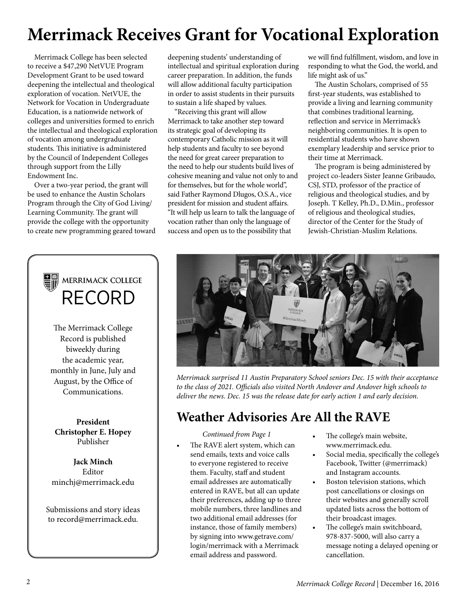# **Merrimack Receives Grant for Vocational Exploration**

Merrimack College has been selected to receive a \$47,290 NetVUE Program Development Grant to be used toward deepening the intellectual and theological exploration of vocation. NetVUE, the Network for Vocation in Undergraduate Education, is a nationwide network of colleges and universities formed to enrich the intellectual and theological exploration of vocation among undergraduate students. This initiative is administered by the Council of Independent Colleges through support from the Lilly Endowment Inc.

Over a two-year period, the grant will be used to enhance the Austin Scholars Program through the City of God Living/ Learning Community. The grant will provide the college with the opportunity to create new programming geared toward

# RECORD

The Merrimack College Record is published biweekly during the academic year, monthly in June, July and August, by the Office of Communications.

**President Christopher E. Hopey** Publisher

**Jack Minch** Editor minchj@merrimack.edu

Submissions and story ideas to record@merrimack.edu.

deepening students' understanding of intellectual and spiritual exploration during career preparation. In addition, the funds will allow additional faculty participation in order to assist students in their pursuits to sustain a life shaped by values.

"Receiving this grant will allow Merrimack to take another step toward its strategic goal of developing its contemporary Catholic mission as it will help students and faculty to see beyond the need for great career preparation to the need to help our students build lives of cohesive meaning and value not only to and for themselves, but for the whole world", said Father Raymond Dlugos, O.S.A., vice president for mission and student affairs. "It will help us learn to talk the language of vocation rather than only the language of success and open us to the possibility that

we will find fulfillment, wisdom, and love in responding to what the God, the world, and life might ask of us."

The Austin Scholars, comprised of 55 first-year students, was established to provide a living and learning community that combines traditional learning, reflection and service in Merrimack's neighboring communities. It is open to residential students who have shown exemplary leadership and service prior to their time at Merrimack.

The program is being administered by project co-leaders Sister Jeanne Gribaudo, CSJ, STD, professor of the practice of religious and theological studies, and by Joseph. T Kelley, Ph.D., D.Min., professor of religious and theological studies, director of the Center for the Study of Jewish-Christian-Muslim Relations.



*Merrimack surprised 11 Austin Preparatory School seniors Dec. 15 with their acceptance to the class of 2021. Officials also visited North Andover and Andover high schools to deliver the news. Dec. 15 was the release date for early action 1 and early decision.*

## **Weather Advisories Are All the RAVE**

*Continued from Page 1*

- The RAVE alert system, which can send emails, texts and voice calls to everyone registered to receive them. Faculty, staff and student email addresses are automatically entered in RAVE, but all can update their preferences, adding up to three mobile numbers, three landlines and two additional email addresses (for instance, those of family members) by signing into www.getrave.com/ login/merrimack with a Merrimack email address and password.
- The college's main website, www.merrimack.edu.
- Social media, specifically the college's Facebook, Twitter (@merrimack) and Instagram accounts.
- Boston television stations, which post cancellations or closings on their websites and generally scroll updated lists across the bottom of their broadcast images.
- The college's main switchboard, 978-837-5000, will also carry a message noting a delayed opening or cancellation.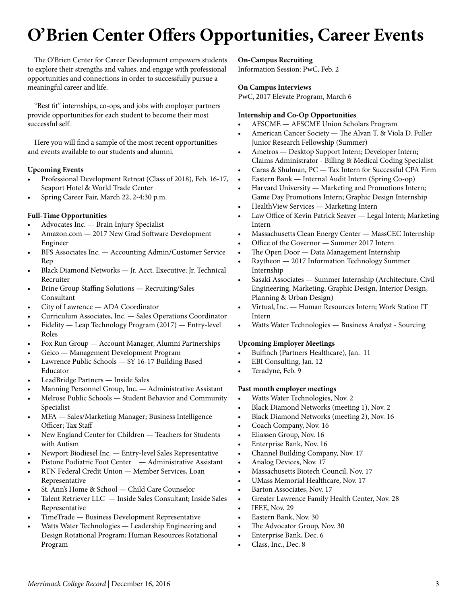# **O'Brien Center Offers Opportunities, Career Events**

The O'Brien Center for Career Development empowers students to explore their strengths and values, and engage with professional opportunities and connections in order to successfully pursue a meaningful career and life.

"Best fit" internships, co-ops, and jobs with employer partners provide opportunities for each student to become their most successful self.

Here you will find a sample of the most recent opportunities and events available to our students and alumni.

#### **Upcoming Events**

- Professional Development Retreat (Class of 2018), Feb. 16-17, Seaport Hotel & World Trade Center
- Spring Career Fair, March 22, 2-4:30 p.m.

#### **Full-Time Opportunities**

- Advocates Inc. Brain Injury Specialist
- Amazon.com 2017 New Grad Software Development Engineer
- BFS Associates Inc. Accounting Admin/Customer Service Rep
- Black Diamond Networks Jr. Acct. Executive; Jr. Technical Recruiter
- Brine Group Staffing Solutions Recruiting/Sales Consultant
- City of Lawrence ADA Coordinator
- Curriculum Associates, Inc. Sales Operations Coordinator
- Fidelity Leap Technology Program (2017) Entry-level Roles
- Fox Run Group Account Manager, Alumni Partnerships
- Geico Management Development Program
- Lawrence Public Schools SY 16-17 Building Based Educator
- LeadBridge Partners Inside Sales
- Manning Personnel Group, Inc. Administrative Assistant
- Melrose Public Schools Student Behavior and Community Specialist
- MFA Sales/Marketing Manager; Business Intelligence Officer; Tax Staff
- New England Center for Children Teachers for Students with Autism
- Newport Biodiesel Inc. Entry-level Sales Representative
- Pistone Podiatric Foot Center Administrative Assistant
- RTN Federal Credit Union Member Services, Loan Representative
- St. Ann's Home & School Child Care Counselor
- Talent Retriever LLC Inside Sales Consultant; Inside Sales Representative
- TimeTrade Business Development Representative
- Watts Water Technologies Leadership Engineering and Design Rotational Program; Human Resources Rotational Program

#### **On-Campus Recruiting**

Information Session: PwC, Feb. 2

#### **On Campus Interviews**

PwC, 2017 Elevate Program, March 6

#### **Internship and Co-Op Opportunities**

- AFSCME AFSCME Union Scholars Program
- American Cancer Society The Alvan T. & Viola D. Fuller Junior Research Fellowship (Summer)
- Ametros Desktop Support Intern; Developer Intern; Claims Administrator - Billing & Medical Coding Specialist
- Caras & Shulman, PC Tax Intern for Successful CPA Firm
- Eastern Bank Internal Audit Intern (Spring Co-op)
- Harvard University Marketing and Promotions Intern; Game Day Promotions Intern; Graphic Design Internship
- HealthView Services Marketing Intern
- Law Office of Kevin Patrick Seaver Legal Intern; Marketing Intern
- Massachusetts Clean Energy Center MassCEC Internship
- Office of the Governor Summer 2017 Intern
- The Open Door Data Management Internship
- Raytheon 2017 Information Technology Summer Internship
- Sasaki Associates Summer Internship (Architecture. Civil Engineering, Marketing, Graphic Design, Interior Design, Planning & Urban Design)
- Virtual, Inc. Human Resources Intern; Work Station IT Intern
- Watts Water Technologies Business Analyst Sourcing

### **Upcoming Employer Meetings**

- Bulfinch (Partners Healthcare), Jan. 11
- EBI Consulting, Jan. 12
- Teradyne, Feb. 9

### **Past month employer meetings**

- Watts Water Technologies, Nov. 2
- Black Diamond Networks (meeting 1), Nov. 2
- Black Diamond Networks (meeting 2), Nov. 16
- Coach Company, Nov. 16
- Eliassen Group, Nov. 16
- Enterprise Bank, Nov. 16
- Channel Building Company, Nov. 17
- Analog Devices, Nov. 17
- Massachusetts Biotech Council, Nov. 17
- UMass Memorial Healthcare, Nov. 17
- Barton Associates, Nov. 17
- Greater Lawrence Family Health Center, Nov. 28
- IEEE, Nov. 29
- Eastern Bank, Nov. 30
- The Advocator Group, Nov. 30
- Enterprise Bank, Dec. 6
- Class, Inc., Dec. 8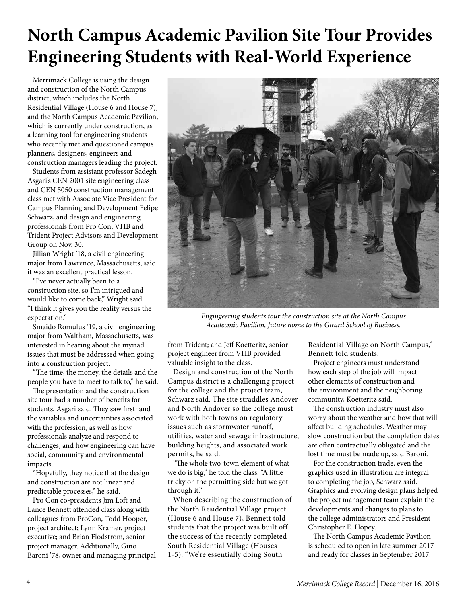# **North Campus Academic Pavilion Site Tour Provides Engineering Students with Real-World Experience**

Merrimack College is using the design and construction of the North Campus district, which includes the North Residential Village (House 6 and House 7), and the North Campus Academic Pavilion, which is currently under construction, as a learning tool for engineering students who recently met and questioned campus planners, designers, engineers and construction managers leading the project.

Students from assistant professor Sadegh Asgari's CEN 2001 site engineering class and CEN 5050 construction management class met with Associate Vice President for Campus Planning and Development Felipe Schwarz, and design and engineering professionals from Pro Con, VHB and Trident Project Advisors and Development Group on Nov. 30.

Jillian Wright '18, a civil engineering major from Lawrence, Massachusetts, said it was an excellent practical lesson.

"I've never actually been to a construction site, so I'm intrigued and would like to come back," Wright said. "I think it gives you the reality versus the expectation."

Smaido Romulus '19, a civil engineering major from Waltham, Massachusetts, was interested in hearing about the myriad issues that must be addressed when going into a construction project.

"The time, the money, the details and the people you have to meet to talk to," he said.

The presentation and the construction site tour had a number of benefits for students, Asgari said. They saw firsthand the variables and uncertainties associated with the profession, as well as how professionals analyze and respond to challenges, and how engineering can have social, community and environmental impacts.

"Hopefully, they notice that the design and construction are not linear and predictable processes," he said.

Pro Con co-presidents Jim Loft and Lance Bennett attended class along with colleagues from ProCon, Todd Hooper, project architect; Lynn Kramer, project executive; and Brian Flodstrom, senior project manager. Additionally, Gino Baroni '78, owner and managing principal



*Engingeering students tour the construction site at the North Campus Acadecmic Pavilion, future home to the Girard School of Business.*

from Trident; and Jeff Koetteritz, senior project engineer from VHB provided valuable insight to the class.

Design and construction of the North Campus district is a challenging project for the college and the project team, Schwarz said. The site straddles Andover and North Andover so the college must work with both towns on regulatory issues such as stormwater runoff, utilities, water and sewage infrastructure, building heights, and associated work permits, he said.

"The whole two-town element of what we do is big," he told the class. "A little tricky on the permitting side but we got through it."

When describing the construction of the North Residential Village project (House 6 and House 7), Bennett told students that the project was built off the success of the recently completed South Residential Village (Houses 1-5). "We're essentially doing South

Residential Village on North Campus," Bennett told students.

Project engineers must understand how each step of the job will impact other elements of construction and the environment and the neighboring community, Koetteritz said.

The construction industry must also worry about the weather and how that will affect building schedules. Weather may slow construction but the completion dates are often contractually obligated and the lost time must be made up, said Baroni.

For the construction trade, even the graphics used in illustration are integral to completing the job, Schwarz said. Graphics and evolving design plans helped the project management team explain the developments and changes to plans to the college administrators and President Christopher E. Hopey.

The North Campus Academic Pavilion is scheduled to open in late summer 2017 and ready for classes in September 2017.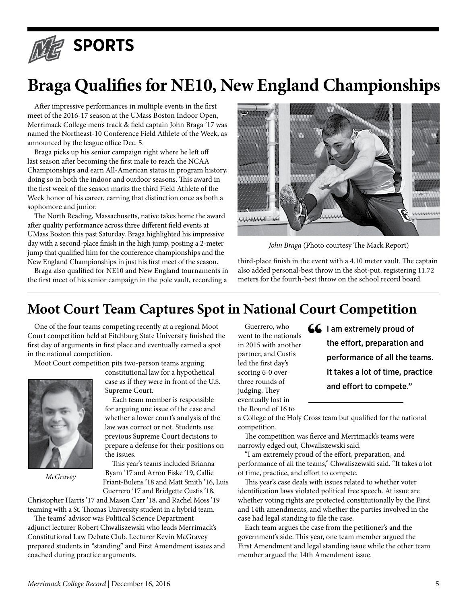

# **Braga Qualifies for NE10, New England Championships**

After impressive performances in multiple events in the first meet of the 2016-17 season at the UMass Boston Indoor Open, Merrimack College men's track & field captain John Braga '17 was named the Northeast-10 Conference Field Athlete of the Week, as announced by the league office Dec. 5.

Braga picks up his senior campaign right where he left off last season after becoming the first male to reach the NCAA Championships and earn All-American status in program history, doing so in both the indoor and outdoor seasons. This award in the first week of the season marks the third Field Athlete of the Week honor of his career, earning that distinction once as both a sophomore and junior.

The North Reading, Massachusetts, native takes home the award after quality performance across three different field events at UMass Boston this past Saturday. Braga highlighted his impressive day with a second-place finish in the high jump, posting a 2-meter jump that qualified him for the conference championships and the New England Championships in just his first meet of the season.

Braga also qualified for NE10 and New England tournaments in the first meet of his senior campaign in the pole vault, recording a



*John Braga* (Photo courtesy The Mack Report)

third-place finish in the event with a 4.10 meter vault. The captain also added personal-best throw in the shot-put, registering 11.72 meters for the fourth-best throw on the school record board.

## **Moot Court Team Captures Spot in National Court Competition**

One of the four teams competing recently at a regional Moot Court competition held at Fitchburg State University finished the first day of arguments in first place and eventually earned a spot in the national competition.

Moot Court competition pits two-person teams arguing



*McGravey*

constitutional law for a hypothetical case as if they were in front of the U.S. Supreme Court.

Each team member is responsible for arguing one issue of the case and whether a lower court's analysis of the law was correct or not. Students use previous Supreme Court decisions to prepare a defense for their positions on the issues.

This year's teams included Brianna Byam '17 and Arron Fiske '19, Callie Friant-Bulens '18 and Matt Smith '16, Luis Guerrero '17 and Bridgette Custis '18,

Christopher Harris '17 and Mason Carr '18, and Rachel Moss '19 teaming with a St. Thomas University student in a hybrid team.

The teams' advisor was Political Science Department adjunct lecturer Robert Chwaliszewski who leads Merrimack's Constitutional Law Debate Club. Lecturer Kevin McGravey prepared students in "standing" and First Amendment issues and coached during practice arguments.

Guerrero, who went to the nationals in 2015 with another partner, and Custis led the first day's scoring 6-0 over three rounds of judging. They eventually lost in the Round of 16 to

 $\begin{aligned} \textbf{G} \textbf{I} \text{ am extremely proud of} \\ \text{the effort, preparation and} \\ \text{performance of all the test} \\ \text{It takes a list of time.} \end{aligned}$ the effort, preparation and performance of all the teams. It takes a lot of time, practice and effort to compete."

a College of the Holy Cross team but qualified for the national competition.

The competition was fierce and Merrimack's teams were narrowly edged out, Chwaliszewski said.

"I am extremely proud of the effort, preparation, and performance of all the teams," Chwaliszewski said. "It takes a lot of time, practice, and effort to compete.

This year's case deals with issues related to whether voter identification laws violated political free speech. At issue are whether voting rights are protected constitutionally by the First and 14th amendments, and whether the parties involved in the case had legal standing to file the case.

Each team argues the case from the petitioner's and the government's side. This year, one team member argued the First Amendment and legal standing issue while the other team member argued the 14th Amendment issue.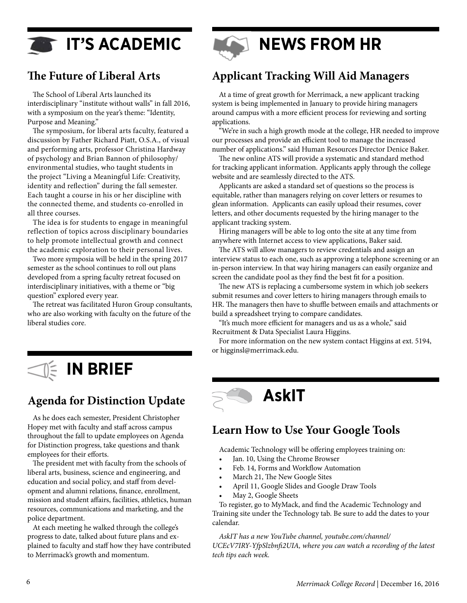**IT'S ACADEMIC** 

### **The Future of Liberal Arts**

The School of Liberal Arts launched its interdisciplinary "institute without walls" in fall 2016, with a symposium on the year's theme: "Identity, Purpose and Meaning."

The symposium, for liberal arts faculty, featured a discussion by Father Richard Piatt, O.S.A., of visual and performing arts, professor Christina Hardway of psychology and Brian Bannon of philosophy/ environmental studies, who taught students in the project "Living a Meaningful Life: Creativity, identity and reflection" during the fall semester. Each taught a course in his or her discipline with the connected theme, and students co-enrolled in all three courses.

The idea is for students to engage in meaningful reflection of topics across disciplinary boundaries to help promote intellectual growth and connect the academic exploration to their personal lives.

Two more symposia will be held in the spring 2017 semester as the school continues to roll out plans developed from a spring faculty retreat focused on interdisciplinary initiatives, with a theme or "big question" explored every year.

The retreat was facilitated Huron Group consultants, who are also working with faculty on the future of the liberal studies core.



### **Agenda for Distinction Update**

As he does each semester, President Christopher Hopey met with faculty and staff across campus throughout the fall to update employees on Agenda for Distinction progress, take questions and thank employees for their efforts.

The president met with faculty from the schools of liberal arts, business, science and engineering, and education and social policy, and staff from development and alumni relations, finance, enrollment, mission and student affairs, facilities, athletics, human resources, communications and marketing, and the police department.

At each meeting he walked through the college's progress to date, talked about future plans and explained to faculty and staff how they have contributed to Merrimack's growth and momentum.



### **Applicant Tracking Will Aid Managers**

At a time of great growth for Merrimack, a new applicant tracking system is being implemented in January to provide hiring managers around campus with a more efficient process for reviewing and sorting applications.

"We're in such a high growth mode at the college, HR needed to improve our processes and provide an efficient tool to manage the increased number of applications." said Human Resources Director Denice Baker.

The new online ATS will provide a systematic and standard method for tracking applicant information. Applicants apply through the college website and are seamlessly directed to the ATS.

Applicants are asked a standard set of questions so the process is equitable, rather than managers relying on cover letters or resumes to glean information. Applicants can easily upload their resumes, cover letters, and other documents requested by the hiring manager to the applicant tracking system.

Hiring managers will be able to log onto the site at any time from anywhere with Internet access to view applications, Baker said.

The ATS will allow managers to review credentials and assign an interview status to each one, such as approving a telephone screening or an in-person interview. In that way hiring managers can easily organize and screen the candidate pool as they find the best fit for a position.

The new ATS is replacing a cumbersome system in which job seekers submit resumes and cover letters to hiring managers through emails to HR. The managers then have to shuffle between emails and attachments or build a spreadsheet trying to compare candidates.

"It's much more efficient for managers and us as a whole," said Recruitment & Data Specialist Laura Higgins.

For more information on the new system contact Higgins at ext. 5194, or higginsl@merrimack.edu.

# **AskIT**

### **Learn How to Use Your Google Tools**

Academic Technology will be offering employees training on:

- Jan. 10, Using the Chrome Browser
- Feb. 14, Forms and Workflow Automation
- March 21, The New Google Sites
- April 11, Google Slides and Google Draw Tools
- May 2, Google Sheets

To register, go to MyMack, and find the Academic Technology and Training site under the Technology tab. Be sure to add the dates to your calendar.

*AskIT has a new YouTube channel, youtube.com/channel/ UCEcV7IRY-YfpSlzbnfi2UIA, where you can watch a recording of the latest tech tips each week.*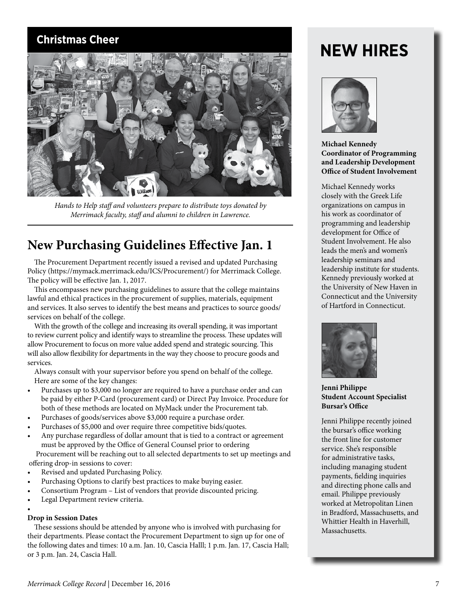### **Christmas Cheer**



*Hands to Help staff and volunteers prepare to distribute toys donated by Merrimack faculty, staff and alumni to children in Lawrence.*

### **New Purchasing Guidelines Effective Jan. 1**

The Procurement Department recently issued a revised and updated Purchasing Policy (https://mymack.merrimack.edu/ICS/Procurement/) for Merrimack College. The policy will be effective Jan. 1, 2017.

This encompasses new purchasing guidelines to assure that the college maintains lawful and ethical practices in the procurement of supplies, materials, equipment and services. It also serves to identify the best means and practices to source goods/ services on behalf of the college.

With the growth of the college and increasing its overall spending, it was important to review current policy and identify ways to streamline the process. These updates will allow Procurement to focus on more value added spend and strategic sourcing. This will also allow flexibility for departments in the way they choose to procure goods and services.

Always consult with your supervisor before you spend on behalf of the college. Here are some of the key changes:

- Purchases up to \$3,000 no longer are required to have a purchase order and can be paid by either P-Card (procurement card) or Direct Pay Invoice. Procedure for both of these methods are located on MyMack under the Procurement tab.
- Purchases of goods/services above \$3,000 require a purchase order.
- Purchases of \$5,000 and over require three competitive bids/quotes.
- Any purchase regardless of dollar amount that is tied to a contract or agreement must be approved by the Office of General Counsel prior to ordering

Procurement will be reaching out to all selected departments to set up meetings and offering drop-in sessions to cover:

- Revised and updated Purchasing Policy.
- Purchasing Options to clarify best practices to make buying easier.
- Consortium Program List of vendors that provide discounted pricing.
- Legal Department review criteria.

#### •

#### **Drop in Session Dates**

These sessions should be attended by anyone who is involved with purchasing for their departments. Please contact the Procurement Department to sign up for one of the following dates and times: 10 a.m. Jan. 10, Cascia Halll; 1 p.m. Jan. 17, Cascia Hall; or 3 p.m. Jan. 24, Cascia Hall.

# **NEW HIRES**



**Michael Kennedy Coordinator of Programming and Leadership Development Office of Student Involvement**

Michael Kennedy works closely with the Greek Life organizations on campus in his work as coordinator of programming and leadership development for Office of Student Involvement. He also leads the men's and women's leadership seminars and leadership institute for students. Kennedy previously worked at the University of New Haven in Connecticut and the University of Hartford in Connecticut.



**Jenni Philippe Student Account Specialist Bursar's Office**

Jenni Philippe recently joined the bursar's office working the front line for customer service. She's responsible for administrative tasks, including managing student payments, fielding inquiries and directing phone calls and email. Philippe previously worked at Metropolitan Linen in Bradford, Massachusetts, and Whittier Health in Haverhill, Massachusetts.